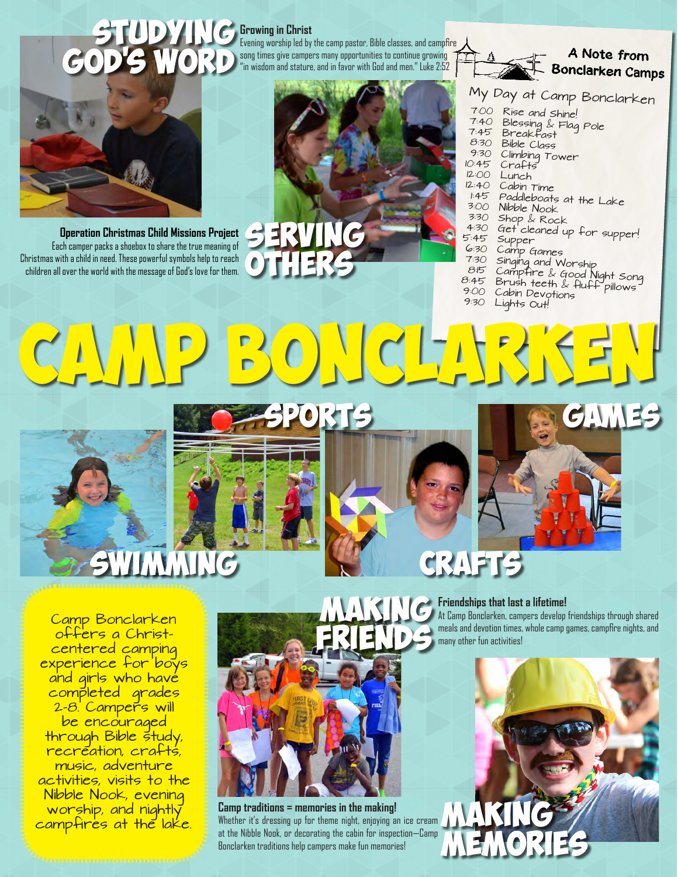# **Growing in Christ**<br>Evening worship led by

Evening worship led by the camp pastor, Bible classes, and campfire song times give campers many opportunities to continue growing "in wisdom and stature, and in favor with God and men." Luke 2:52





**Operation Christmas Child Missions Project** Each camper packs a shoebox to share the true meaning of Christmas with a child in need. These powerful symbols help to reach children all over the world with the message of God's love for them.



# My Day at Camp Bonclarken<br>7:00 Rise and shine

- 7:00 Rise and Shine!<br>7:40 Blessing & Flog
- 7:40 Blessing & Flag Pole 7:45 Breakfast
- 
- 8:30 Bible Class
- 9:30 Climbing Tower
- 10:45 Crafts<br>12:00 Lunch
- 12:00 Lunch<br>12:40 Cabin
- Cabin Time
- 1:45 Paddleboats at the Lake
- $3:00$  Nibble Nook<br> $3:30$  Shop  $\&$  Reg
- $3:30$  Shop & Rock<br>4:30 Get cleaned ...
- 4:30 Get cleaned up for supper!<br>5:45 Supper
- 5:45 Supper<br>6:30 Canne
- 6:30 Camp Games
- 7:30 Singing and Worship
- 8:15 Campfire & Good Night Song 8:45 Brush teeth & fluff pillows
- 9:00 Cabin Devotions
	- Lights Out!

Games sports  $SO(7)$ 



Swimming

Camp Bonclarken offers a Christcentered camping experience for boys and girls who have completed grades 2-8. Campers will be encouraged through Bible study, recreation, crafts, music, adventure activities, visits to the Nibble Nook, evening worship, and nightly campfires at the lake.



Camp traditions = memories in the making!<br>Whether it's dressing up for theme night, enjoying an ice cream **ANA INCE INCE** Whether it's dressing up for theme night, enjoying an ice cream at the Nibble Nook, or decorating the cabin for inspection—Camp Bonclarken traditions help campers make fun memories!

# **CRAF**

**Friendships that last a lifetime!**

memories

At Camp Bonclarken, campers develop friendships through shared meals and devotion times, whole camp games, campfire nights, and many other fun activities!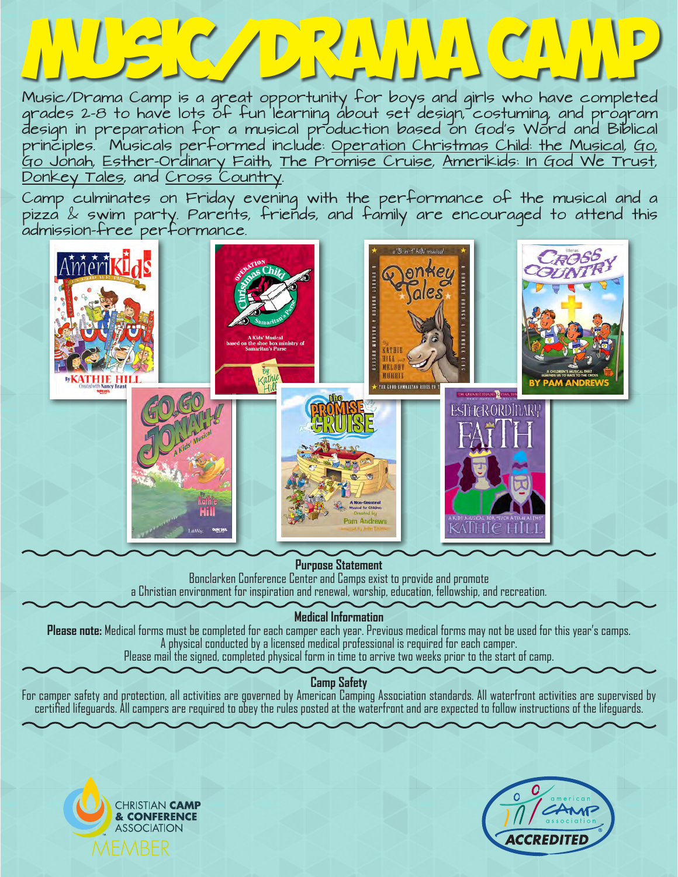# Music/Drama Camp

Music/Drama Camp is a great opportunity for boys and girls who have completed grades 2-8 to have lots of fun learning about set design, costuming, and program design in preparation for a musical production based on God's Word and Biblical principles. Musicals performed include: Operation Christmas Child: the Musical, Go, Go Jonah, Esther-Ordinary Faith, The Promise Cruise, Amerikids: In God We Trust, Donkey Tales, and Cross Country.

Camp culminates on Friday evening with the performance of the musical and a pizza & swim party. Parents, friends, and family are encouraged to attend this admission-free performance.



#### **Purpose Statement**

Bonclarken Conference Center and Camps exist to provide and promote a Christian environment for inspiration and renewal, worship, education, fellowship, and recreation.

**Medical Information**

**Please note:** Medical forms must be completed for each camper each year. Previous medical forms may not be used for this year's camps. A physical conducted by a licensed medical professional is required for each camper.

Please mail the signed, completed physical form in time to arrive two weeks prior to the start of camp.

## **Camp Safety**

For camper safety and protection, all activities are governed by American Camping Association standards. All waterfront activities are supervised by certified lifeguards. All campers are required to obey the rules posted at the waterfront and are expected to follow instructions of the lifeguards.



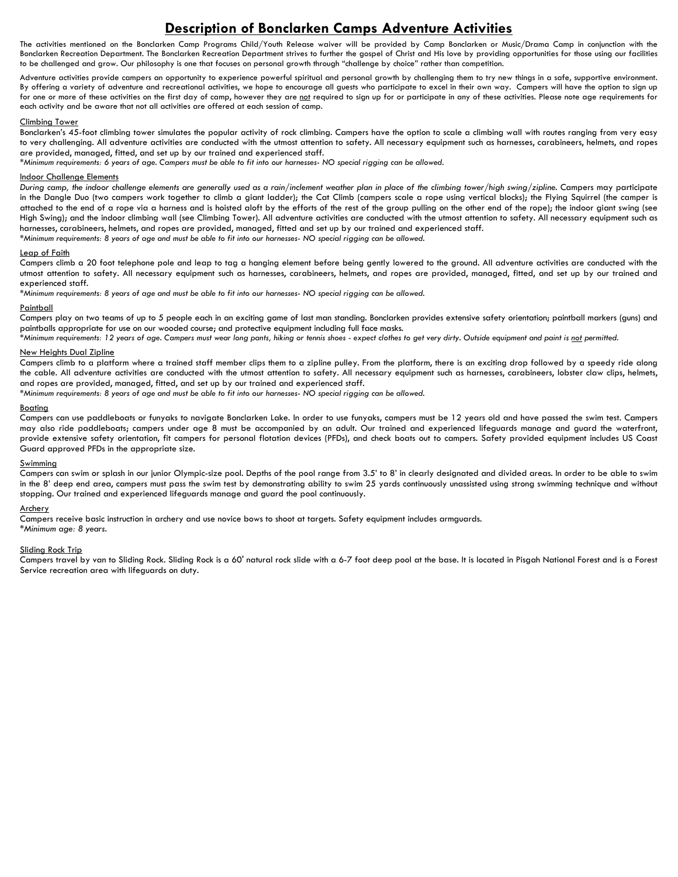### **Description of Bonclarken Camps Adventure Activities**

The activities mentioned on the Bonclarken Camp Programs Child/Youth Release waiver will be provided by Camp Bonclarken or Music/Drama Camp in conjunction with the Bonclarken Recreation Department. The Bonclarken Recreation Department strives to further the gospel of Christ and His love by providing opportunities for those using our facilities to be challenged and grow. Our philosophy is one that focuses on personal growth through "challenge by choice" rather than competition.

Adventure activities provide campers an opportunity to experience powerful spiritual and personal growth by challenging them to try new things in a safe, supportive environment. By offering a variety of adventure and recreational activities, we hope to encourage all guests who participate to excel in their own way. Campers will have the option to sign up for one or more of these activities on the first day of camp, however they are not required to sign up for or participate in any of these activities. Please note age requirements for each activity and be aware that not all activities are offered at each session of camp.

#### Climbing Tower

Bonclarken's 45-foot climbing tower simulates the popular activity of rock climbing. Campers have the option to scale a climbing wall with routes ranging from very easy to very challenging. All adventure activities are conducted with the utmost attention to safety. All necessary equipment such as harnesses, carabineers, helmets, and ropes are provided, managed, fitted, and set up by our trained and experienced staff.

*\*Minimum requirements: 6 years of age. Campers must be able to fit into our harnesses- NO special rigging can be allowed.*

#### Indoor Challenge Elements

*During camp, the indoor challenge elements are generally used as a rain/inclement weather plan in place of the climbing tower/high swing/zipline. Campers may participate* in the Dangle Duo (two campers work together to climb a giant ladder); the Cat Climb (campers scale a rope using vertical blocks); the Flying Squirrel (the camper is attached to the end of a rope via a harness and is hoisted aloft by the efforts of the rest of the group pulling on the other end of the rope); the indoor giant swing (see High Swing); and the indoor climbing wall (see Climbing Tower). All adventure activities are conducted with the utmost attention to safety. All necessary equipment such as harnesses, carabineers, helmets, and ropes are provided, managed, fitted and set up by our trained and experienced staff.

*\*Minimum requirements: 8 years of age and must be able to fit into our harnesses- NO special rigging can be allowed.* 

#### Leap of Faith

Campers climb a 20 foot telephone pole and leap to tag a hanging element before being gently lowered to the ground. All adventure activities are conducted with the utmost attention to safety. All necessary equipment such as harnesses, carabineers, helmets, and ropes are provided, managed, fitted, and set up by our trained and experienced staff.

*\*Minimum requirements: 8 years of age and must be able to fit into our harnesses- NO special rigging can be allowed.* 

#### Paintball

Campers play on two teams of up to 5 people each in an exciting game of last man standing. Bonclarken provides extensive safety orientation; paintball markers (guns) and paintballs appropriate for use on our wooded course; and protective equipment including full face masks.

*\*Minimum requirements: 12 years of age. Campers must wear long pants, hiking or tennis shoes - expect clothes to get very dirty. Outside equipment and paint is not permitted.* 

#### New Heights Dual Zipline

Campers climb to a platform where a trained staff member clips them to a zipline pulley. From the platform, there is an exciting drop followed by a speedy ride along the cable. All adventure activities are conducted with the utmost attention to safety. All necessary equipment such as harnesses, carabineers, lobster claw clips, helmets, and ropes are provided, managed, fitted, and set up by our trained and experienced staff.

*\*Minimum requirements: 8 years of age and must be able to fit into our harnesses- NO special rigging can be allowed.* 

#### Boating

Campers can use paddleboats or funyaks to navigate Bonclarken Lake. In order to use funyaks, campers must be 12 years old and have passed the swim test. Campers may also ride paddleboats; campers under age 8 must be accompanied by an adult. Our trained and experienced lifeguards manage and guard the waterfront, provide extensive safety orientation, fit campers for personal flotation devices (PFDs), and check boats out to campers. Safety provided equipment includes US Coast Guard approved PFDs in the appropriate size.

#### **Swimming**

Campers can swim or splash in our junior Olympic-size pool. Depths of the pool range from 3.5' to 8' in clearly designated and divided areas. In order to be able to swim in the 8' deep end area, campers must pass the swim test by demonstrating ability to swim 25 yards continuously unassisted using strong swimming technique and without stopping. Our trained and experienced lifeguards manage and guard the pool continuously.

#### Archery

Campers receive basic instruction in archery and use novice bows to shoot at targets. Safety equipment includes armguards. *\*Minimum age: 8 years.* 

#### Sliding Rock Trip

Campers travel by van to Sliding Rock. Sliding Rock is a 60' natural rock slide with a 6-7 foot deep pool at the base. It is located in Pisgah National Forest and is a Forest Service recreation area with lifeguards on duty.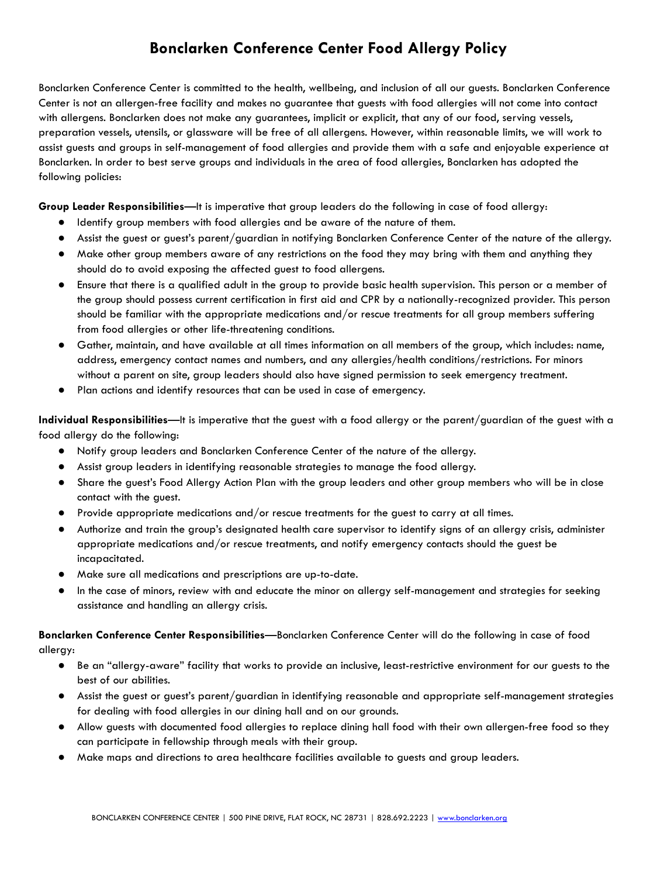# **Bonclarken Conference Center Food Allergy Policy**

 Bonclarken Conference Center is committed to the health, wellbeing, and inclusion of all our guests. Bonclarken Conference Center is not an allergen-free facility and makes no guarantee that guests with food allergies will not come into contact with allergens. Bonclarken does not make any guarantees, implicit or explicit, that any of our food, serving vessels, preparation vessels, utensils, or glassware will be free of all allergens. However, within reasonable limits, we will work to assist guests and groups in self-management of food allergies and provide them with a safe and enjoyable experience at Bonclarken. In order to best serve groups and individuals in the area of food allergies, Bonclarken has adopted the following policies:

 **Group Leader Responsibilities** —It is imperative that group leaders do the following in case of food allergy:

- Identify group members with food allergies and be aware of the nature of them.
- Assist the guest or guest's parent/guardian in notifying Bonclarken Conference Center of the nature of the allergy.
- Make other group members aware of any restrictions on the food they may bring with them and anything they should do to avoid exposing the affected guest to food allergens.
- Ensure that there is a qualified adult in the group to provide basic health supervision. This person or a member of the group should possess current certification in first aid and CPR by a nationally-recognized provider. This person should be familiar with the appropriate medications and/or rescue treatments for all group members suffering from food allergies or other life-threatening conditions.
- Gather, maintain, and have available at all times information on all members of the group, which includes: name, address, emergency contact names and numbers, and any allergies/health conditions/restrictions. For minors without a parent on site, group leaders should also have signed permission to seek emergency treatment.
- Plan actions and identify resources that can be used in case of emergency.

 **Individual Responsibilities** —It is imperative that the guest with a food allergy or the parent/guardian of the guest with a food allergy do the following:

- Notify group leaders and Bonclarken Conference Center of the nature of the allergy.
- Assist group leaders in identifying reasonable strategies to manage the food allergy.
- Share the guest's Food Allergy Action Plan with the group leaders and other group members who will be in close contact with the guest.
- Provide appropriate medications and/or rescue treatments for the guest to carry at all times.
- Authorize and train the group's designated health care supervisor to identify signs of an allergy crisis, administer appropriate medications and/or rescue treatments, and notify emergency contacts should the guest be incapacitated.
- Make sure all medications and prescriptions are up-to-date.
- In the case of minors, review with and educate the minor on allergy self-management and strategies for seeking assistance and handling an allergy crisis.

 **Bonclarken Conference Center Responsibilities** —Bonclarken Conference Center will do the following in case of food allergy:

- Be an "allergy-aware" facility that works to provide an inclusive, least-restrictive environment for our guests to the best of our abilities.
- Assist the guest or guest's parent/guardian in identifying reasonable and appropriate self-management strategies for dealing with food allergies in our dining hall and on our grounds.
- Allow guests with documented food allergies to replace dining hall food with their own allergen-free food so they can participate in fellowship through meals with their group.
- Make maps and directions to area healthcare facilities available to guests and group leaders.